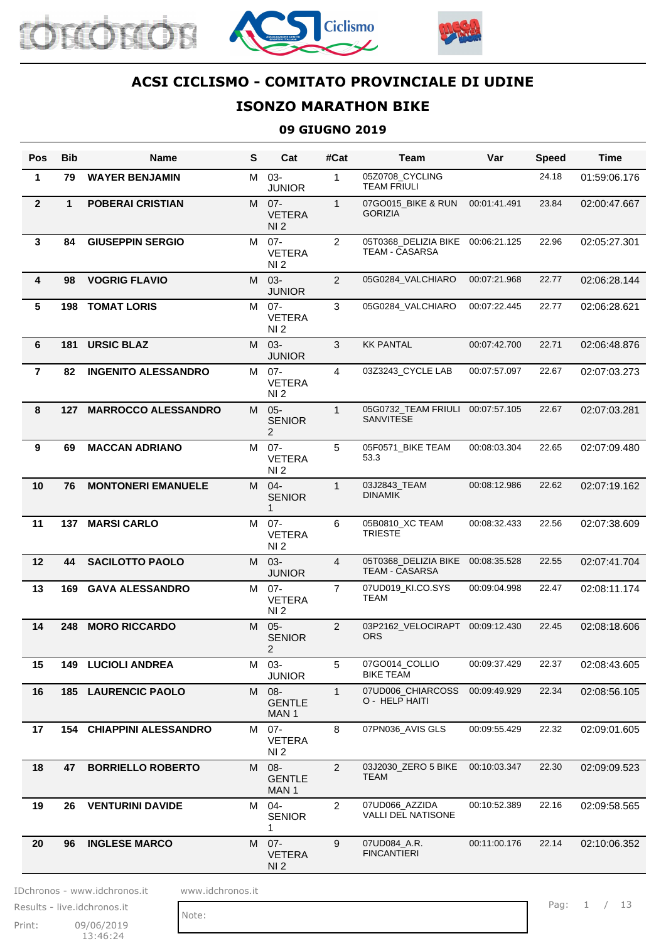





# **ISONZO MARATHON BIKE**

#### **09 GIUGNO 2019**

| M 03-<br>$\mathbf{1}$<br>05Z0708 CYCLING<br>$\mathbf{1}$<br>79<br><b>WAYER BENJAMIN</b><br><b>TEAM FRIULI</b><br><b>JUNIOR</b><br>$\overline{2}$<br>$\mathbf{1}$<br>07GO015_BIKE & RUN<br>$\mathbf{1}$<br><b>POBERAI CRISTIAN</b><br>M 07-<br><b>GORIZIA</b><br><b>VETERA</b><br>NI <sub>2</sub> | 24.18<br>23.84<br>00:01:41.491<br>22.96 | 01:59:06.176<br>02:00:47.667<br>02:05:27.301 |
|--------------------------------------------------------------------------------------------------------------------------------------------------------------------------------------------------------------------------------------------------------------------------------------------------|-----------------------------------------|----------------------------------------------|
|                                                                                                                                                                                                                                                                                                  |                                         |                                              |
|                                                                                                                                                                                                                                                                                                  |                                         |                                              |
| $\mathbf{3}$<br><b>GIUSEPPIN SERGIO</b><br>$\overline{2}$<br>84<br>$07 -$<br>05T0368_DELIZIA BIKE 00:06:21.125<br>M<br><b>TEAM - CASARSA</b><br><b>VETERA</b><br>NI <sub>2</sub>                                                                                                                 |                                         |                                              |
| $\overline{2}$<br>4<br><b>VOGRIG FLAVIO</b><br>M 03-<br>05G0284_VALCHIARO<br>98<br><b>JUNIOR</b>                                                                                                                                                                                                 | 00:07:21.968<br>22.77                   | 02:06:28.144                                 |
| $5\phantom{.0}$<br>3<br><b>TOMAT LORIS</b><br>M 07-<br>05G0284 VALCHIARO<br>198<br><b>VETERA</b><br>NI <sub>2</sub>                                                                                                                                                                              | 00:07:22.445<br>22.77                   | 02:06:28.621                                 |
| M 03-<br>3<br><b>KK PANTAL</b><br>6<br><b>URSIC BLAZ</b><br>181<br><b>JUNIOR</b>                                                                                                                                                                                                                 | 00:07:42.700<br>22.71                   | 02:06:48.876                                 |
| $\overline{4}$<br>03Z3243_CYCLE LAB<br>$\overline{7}$<br><b>INGENITO ALESSANDRO</b><br>M 07-<br>82<br><b>VETERA</b><br>NI 2                                                                                                                                                                      | 00:07:57.097<br>22.67                   | 02:07:03.273                                 |
| 8<br>127 MARROCCO ALESSANDRO<br>$05 -$<br>05G0732_TEAM FRIULI<br>$\mathbf{1}$<br>M<br>SANVITESE<br><b>SENIOR</b><br>$\overline{2}$                                                                                                                                                               | 00:07:57.105<br>22.67                   | 02:07:03.281                                 |
| 9<br>05F0571_BIKE TEAM<br><b>MACCAN ADRIANO</b><br>M 07-<br>5<br>69<br>53.3<br><b>VETERA</b><br>NI <sub>2</sub>                                                                                                                                                                                  | 00:08:03.304<br>22.65                   | 02:07:09.480                                 |
| 10<br>M 04-<br>$\mathbf{1}$<br>03J2843_TEAM<br>76<br><b>MONTONERI EMANUELE</b><br><b>DINAMIK</b><br><b>SENIOR</b><br>1                                                                                                                                                                           | 22.62<br>00:08:12.986                   | 02:07:19.162                                 |
| 11<br>137 MARSI CARLO<br>$07 -$<br>6<br>05B0810_XC TEAM<br>M<br><b>TRIESTE</b><br><b>VETERA</b><br>NI <sub>2</sub>                                                                                                                                                                               | 22.56<br>00:08:32.433                   | 02:07:38.609                                 |
| 05T0368_DELIZIA BIKE<br>12<br><b>SACILOTTO PAOLO</b><br>44<br>M 03-<br>4<br><b>TEAM - CASARSA</b><br><b>JUNIOR</b>                                                                                                                                                                               | 00:08:35.528<br>22.55                   | 02:07:41.704                                 |
| 13<br><b>GAVA ALESSANDRO</b><br>M 07-<br>$\overline{7}$<br>07UD019 KI.CO.SYS<br>169<br>TEAM<br><b>VETERA</b><br>NI <sub>2</sub>                                                                                                                                                                  | 00:09:04.998<br>22.47                   | 02:08:11.174                                 |
| M 05-<br>$\overline{2}$<br>03P2162_VELOCIRAPT<br>14<br>248<br><b>MORO RICCARDO</b><br><b>ORS</b><br><b>SENIOR</b><br>2                                                                                                                                                                           | 00:09:12.430<br>22.45                   | 02:08:18.606                                 |
| 15<br><b>149 LUCIOLI ANDREA</b><br>5<br>07GO014 COLLIO<br>$03 -$<br>M<br><b>BIKE TEAM</b><br><b>JUNIOR</b>                                                                                                                                                                                       | 00:09:37.429<br>22.37                   | 02:08:43.605                                 |
| 16<br>08-<br>07UD006_CHIARCOSS<br><b>185 LAURENCIC PAOLO</b><br>$\mathbf{1}$<br>M<br>O - HELP HAITI<br><b>GENTLE</b><br>MAN 1                                                                                                                                                                    | 00:09:49.929<br>22.34                   | 02:08:56.105                                 |
| 8<br>07PN036_AVIS GLS<br>17<br><b>154 CHIAPPINI ALESSANDRO</b><br>07-<br>M<br><b>VETERA</b><br>NI <sub>2</sub>                                                                                                                                                                                   | 00:09:55.429<br>22.32                   | 02:09:01.605                                 |
| 18<br><b>BORRIELLO ROBERTO</b><br>M 08-<br>$\overline{2}$<br>47<br>03J2030_ZERO 5 BIKE<br>TEAM<br><b>GENTLE</b><br>MAN 1                                                                                                                                                                         | 00:10:03.347<br>22.30                   | 02:09:09.523                                 |
| $04 -$<br>$\overline{2}$<br>07UD066_AZZIDA<br>19<br><b>VENTURINI DAVIDE</b><br>26<br>M<br>VALLI DEL NATISONE<br><b>SENIOR</b><br>1                                                                                                                                                               | 00:10:52.389<br>22.16                   | 02:09:58.565                                 |
| 20<br><b>INGLESE MARCO</b><br>M 07-<br>9<br>07UD084_A.R.<br>96<br><b>FINCANTIERI</b><br><b>VETERA</b><br>NI <sub>2</sub>                                                                                                                                                                         | 00:11:00.176<br>22.14                   | 02:10:06.352                                 |

IDchronos - www.idchronos.it www.idchronos.it

Print: 09/06/2019 13:46:24 Results - live.idchronos.it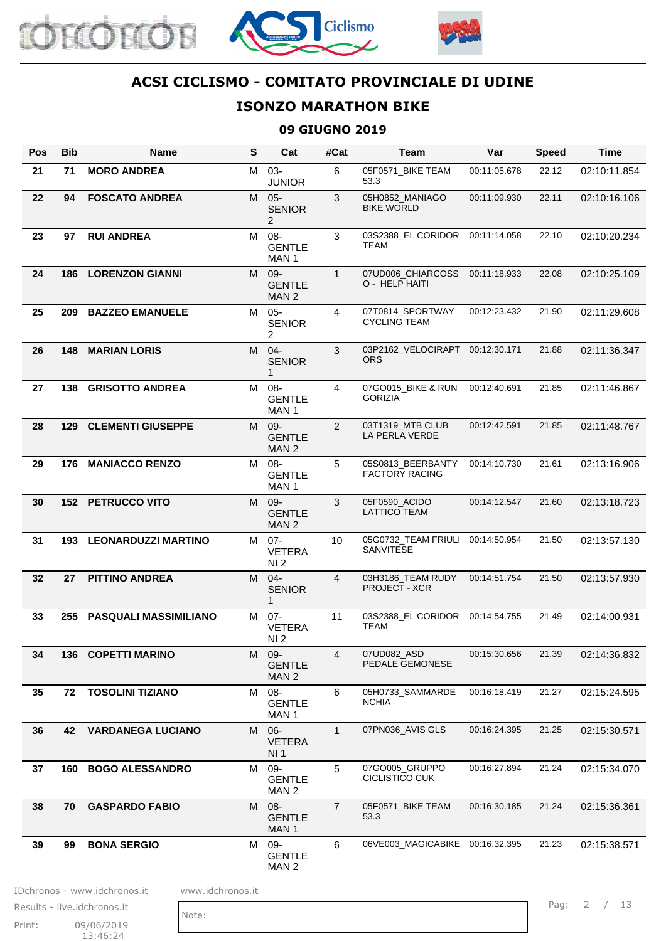





# **ISONZO MARATHON BIKE**

#### **09 GIUGNO 2019**

| Pos | <b>Bib</b> | Name                           | S | Cat                                        | #Cat           | Team                                          | Var          | <b>Speed</b> | Time         |
|-----|------------|--------------------------------|---|--------------------------------------------|----------------|-----------------------------------------------|--------------|--------------|--------------|
| 21  | 71         | <b>MORO ANDREA</b>             |   | M 03-<br><b>JUNIOR</b>                     | 6              | 05F0571_BIKE TEAM<br>53.3                     | 00:11:05.678 | 22.12        | 02:10:11.854 |
| 22  | 94         | <b>FOSCATO ANDREA</b>          |   | M 05-<br><b>SENIOR</b><br>2                | 3              | 05H0852_MANIAGO<br><b>BIKE WORLD</b>          | 00:11:09.930 | 22.11        | 02:10:16.106 |
| 23  | 97         | <b>RUI ANDREA</b>              |   | M 08-<br><b>GENTLE</b><br>MAN <sub>1</sub> | 3              | 03S2388_EL CORIDOR<br>TEAM                    | 00:11:14.058 | 22.10        | 02:10:20.234 |
| 24  |            | <b>186 LORENZON GIANNI</b>     |   | M 09-<br><b>GENTLE</b><br>MAN <sub>2</sub> | $\mathbf{1}$   | 07UD006_CHIARCOSS<br>O - HELP HAITI           | 00:11:18.933 | 22.08        | 02:10:25.109 |
| 25  | 209        | <b>BAZZEO EMANUELE</b>         |   | M 05-<br><b>SENIOR</b><br>$\overline{2}$   | 4              | 07T0814_SPORTWAY<br><b>CYCLING TEAM</b>       | 00:12:23.432 | 21.90        | 02:11:29.608 |
| 26  | 148        | <b>MARIAN LORIS</b>            |   | M 04-<br><b>SENIOR</b><br>1                | 3              | 03P2162_VELOCIRAPT 00:12:30.171<br><b>ORS</b> |              | 21.88        | 02:11:36.347 |
| 27  |            | 138 GRISOTTO ANDREA            |   | M 08-<br><b>GENTLE</b><br>MAN <sub>1</sub> | 4              | 07GO015_BIKE & RUN<br><b>GORIZIA</b>          | 00:12:40.691 | 21.85        | 02:11:46.867 |
| 28  | 129        | <b>CLEMENTI GIUSEPPE</b>       |   | M 09-<br><b>GENTLE</b><br>MAN <sub>2</sub> | $\overline{2}$ | 03T1319_MTB CLUB<br>LA PERLA VERDE            | 00:12:42.591 | 21.85        | 02:11:48.767 |
| 29  | 176        | <b>MANIACCO RENZO</b>          |   | M 08-<br><b>GENTLE</b><br>MAN <sub>1</sub> | 5              | 05S0813 BEERBANTY<br><b>FACTORY RACING</b>    | 00:14:10.730 | 21.61        | 02:13:16.906 |
| 30  |            | <b>152 PETRUCCO VITO</b>       |   | M 09-<br><b>GENTLE</b><br>MAN <sub>2</sub> | 3              | 05F0590_ACIDO<br><b>LATTICO TEAM</b>          | 00:14:12.547 | 21.60        | 02:13:18.723 |
| 31  |            | <b>193 LEONARDUZZI MARTINO</b> |   | M 07-<br><b>VETERA</b><br>NI <sub>2</sub>  | 10             | 05G0732_TEAM FRIULI<br>SANVITESE              | 00:14:50.954 | 21.50        | 02:13:57.130 |
| 32  | 27         | <b>PITTINO ANDREA</b>          |   | M 04-<br><b>SENIOR</b><br>1                | 4              | 03H3186 TEAM RUDY<br><b>PROJECT - XCR</b>     | 00:14:51.754 | 21.50        | 02:13:57.930 |
| 33  |            | 255 PASQUALI MASSIMILIANO      |   | M 07-<br><b>VETERA</b><br>NI <sub>2</sub>  | 11             | <b>TEAM</b>                                   |              | 21.49        | 02:14:00.931 |
| 34  |            | 136 COPETTI MARINO             |   | M 09-<br><b>GENTLE</b><br>MAN <sub>2</sub> | 4              | 07UD082_ASD<br>PEDALE GEMONESE                | 00:15:30.656 | 21.39        | 02:14:36.832 |
| 35  | 72         | <b>TOSOLINI TIZIANO</b>        |   | M 08-<br><b>GENTLE</b><br>MAN 1            | 6              | 05H0733_SAMMARDE<br><b>NCHIA</b>              | 00:16:18.419 | 21.27        | 02:15:24.595 |
| 36  |            | 42 VARDANEGA LUCIANO           |   | M 06-<br><b>VETERA</b><br>NI 1             | $\mathbf{1}$   | 07PN036 AVIS GLS                              | 00:16:24.395 | 21.25        | 02:15:30.571 |
| 37  |            | 160 BOGO ALESSANDRO            | M | 09-<br><b>GENTLE</b><br>MAN 2              | 5              | 07GO005 GRUPPO<br><b>CICLISTICO CUK</b>       | 00:16:27.894 | 21.24        | 02:15:34.070 |
| 38  | 70         | <b>GASPARDO FABIO</b>          |   | M 08-<br><b>GENTLE</b><br>MAN 1            | $\overline{7}$ | 05F0571_BIKE TEAM<br>53.3                     | 00:16:30.185 | 21.24        | 02:15:36.361 |
| 39  | 99         | <b>BONA SERGIO</b>             |   | M 09-<br><b>GENTLE</b><br>MAN <sub>2</sub> | 6              | 06VE003_MAGICABIKE 00:16:32.395               |              | 21.23        | 02:15:38.571 |

Print: 09/06/2019 13:46:24 Results - live.idchronos.it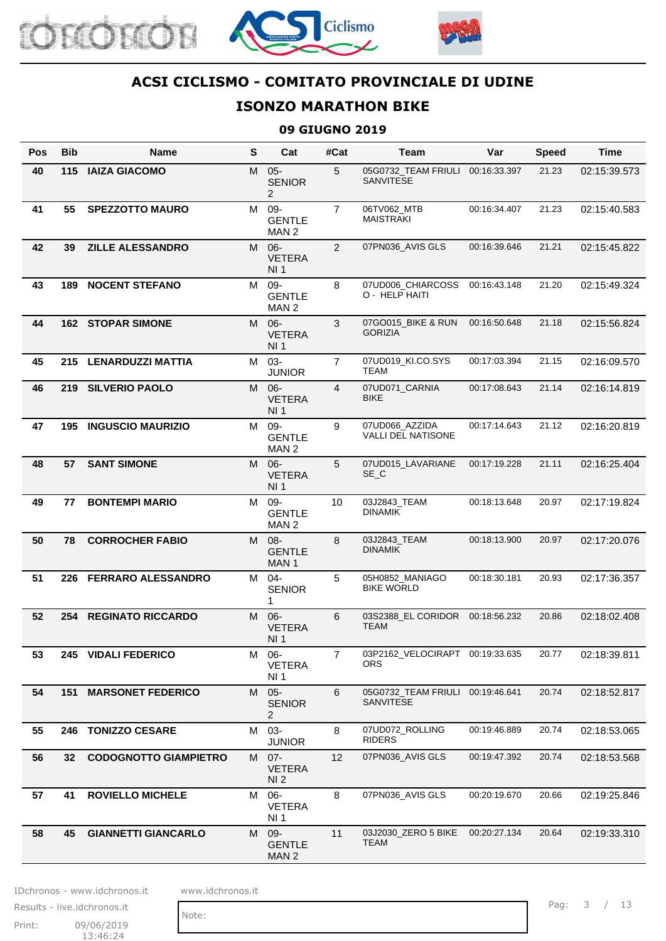





## **ISONZO MARATHON BIKE**

#### **09 GIUGNO 2019**

| Pos | <b>Bib</b> | Name                         | $\mathbf{s}$ | Cat                                         | #Cat           | Team                                          | Var          | <b>Speed</b> | <b>Time</b>  |
|-----|------------|------------------------------|--------------|---------------------------------------------|----------------|-----------------------------------------------|--------------|--------------|--------------|
| 40  | 115        | <b>IAIZA GIACOMO</b>         | M            | $05 -$<br><b>SENIOR</b><br>2                | 5              | 05G0732_TEAM FRIULI<br><b>SANVITESE</b>       | 00:16:33.397 | 21.23        | 02:15:39.573 |
| 41  | 55         | <b>SPEZZOTTO MAURO</b>       | M            | 09-<br><b>GENTLE</b><br>MAN <sub>2</sub>    | $\overline{7}$ | 06TV062_MTB<br><b>MAISTRAKI</b>               | 00:16:34.407 | 21.23        | 02:15:40.583 |
| 42  | 39         | <b>ZILLE ALESSANDRO</b>      | M            | $06-$<br><b>VETERA</b><br>NI 1              | 2              | 07PN036_AVIS GLS                              | 00:16:39.646 | 21.21        | 02:15:45.822 |
| 43  | 189        | <b>NOCENT STEFANO</b>        | M            | 09-<br><b>GENTLE</b><br>MAN 2               | 8              | 07UD006_CHIARCOSS<br>O - HELP HAITI           | 00:16:43.148 | 21.20        | 02:15:49.324 |
| 44  |            | <b>162 STOPAR SIMONE</b>     | M            | $06 -$<br><b>VETERA</b><br>NI <sub>1</sub>  | 3              | 07GO015_BIKE & RUN<br><b>GORIZIA</b>          | 00:16:50.648 | 21.18        | 02:15:56.824 |
| 45  |            | 215 LENARDUZZI MATTIA        | M            | $03 -$<br><b>JUNIOR</b>                     | $\overline{7}$ | 07UD019_KI.CO.SYS<br><b>TEAM</b>              | 00:17:03.394 | 21.15        | 02:16:09.570 |
| 46  | 219        | <b>SILVERIO PAOLO</b>        | M            | $06 -$<br><b>VETERA</b><br>NI <sub>1</sub>  | $\overline{4}$ | 07UD071_CARNIA<br><b>BIKE</b>                 | 00:17:08.643 | 21.14        | 02:16:14.819 |
| 47  | 195        | <b>INGUSCIO MAURIZIO</b>     | M            | 09-<br><b>GENTLE</b><br>MAN <sub>2</sub>    | 9              | 07UD066_AZZIDA<br><b>VALLI DEL NATISONE</b>   | 00:17:14.643 | 21.12        | 02:16:20.819 |
| 48  | 57         | <b>SANT SIMONE</b>           | M            | $06 -$<br><b>VETERA</b><br>NI <sub>1</sub>  | 5              | 07UD015 LAVARIANE<br>SE_C                     | 00:17:19.228 | 21.11        | 02:16:25.404 |
| 49  | 77         | <b>BONTEMPI MARIO</b>        | M            | 09-<br><b>GENTLE</b><br>MAN <sub>2</sub>    | 10             | 03J2843_TEAM<br><b>DINAMIK</b>                | 00:18:13.648 | 20.97        | 02:17:19.824 |
| 50  | 78         | <b>CORROCHER FABIO</b>       | M            | $08 -$<br><b>GENTLE</b><br>MAN <sub>1</sub> | 8              | 03J2843_TEAM<br><b>DINAMIK</b>                | 00:18:13.900 | 20.97        | 02:17:20.076 |
| 51  |            | 226 FERRARO ALESSANDRO       | M            | $04 -$<br><b>SENIOR</b><br>1                | 5              | 05H0852_MANIAGO<br><b>BIKE WORLD</b>          | 00:18:30.181 | 20.93        | 02:17:36.357 |
| 52  |            | <b>254 REGINATO RICCARDO</b> |              | M 06-<br><b>VETERA</b><br>NI <sub>1</sub>   | 6              | <b>TEAM</b>                                   |              | 20.86        | 02:18:02.408 |
| 53  |            | 245 VIDALI FEDERICO          | M            | $06-$<br><b>VETERA</b><br>NI 1              | $\overline{7}$ | 03P2162_VELOCIRAPT 00:19:33.635<br>ORS.       |              | 20.77        | 02:18:39.811 |
| 54  | 151        | <b>MARSONET FEDERICO</b>     | M            | $05 -$<br><b>SENIOR</b><br>2                | 6              | 05G0732_TEAM FRIULI 00:19:46.641<br>SANVITESE |              | 20.74        | 02:18:52.817 |
| 55  |            | 246 TONIZZO CESARE           | M            | 03-<br><b>JUNIOR</b>                        | 8              | 07UD072_ROLLING<br><b>RIDERS</b>              | 00:19:46.889 | 20.74        | 02:18:53.065 |
| 56  | 32         | <b>CODOGNOTTO GIAMPIETRO</b> |              | M 07-<br><b>VETERA</b><br>NI <sub>2</sub>   | 12             | 07PN036_AVIS GLS                              | 00:19:47.392 | 20.74        | 02:18:53.568 |
| 57  | 41         | <b>ROVIELLO MICHELE</b>      | м            | 06-<br><b>VETERA</b><br>NI <sub>1</sub>     | 8              | 07PN036_AVIS GLS                              | 00:20:19.670 | 20.66        | 02:19:25.846 |
| 58  | 45         | <b>GIANNETTI GIANCARLO</b>   | M            | 09-<br><b>GENTLE</b><br>MAN <sub>2</sub>    | 11             | 03J2030_ZERO 5 BIKE<br>TEAM                   | 00:20:27.134 | 20.64        | 02:19:33.310 |

IDchronos - www.idchronos.it www.idchronos.it

Print: 09/06/2019 13:46:24 Results - live.idchronos.it

Note:

Pag: 3 / 13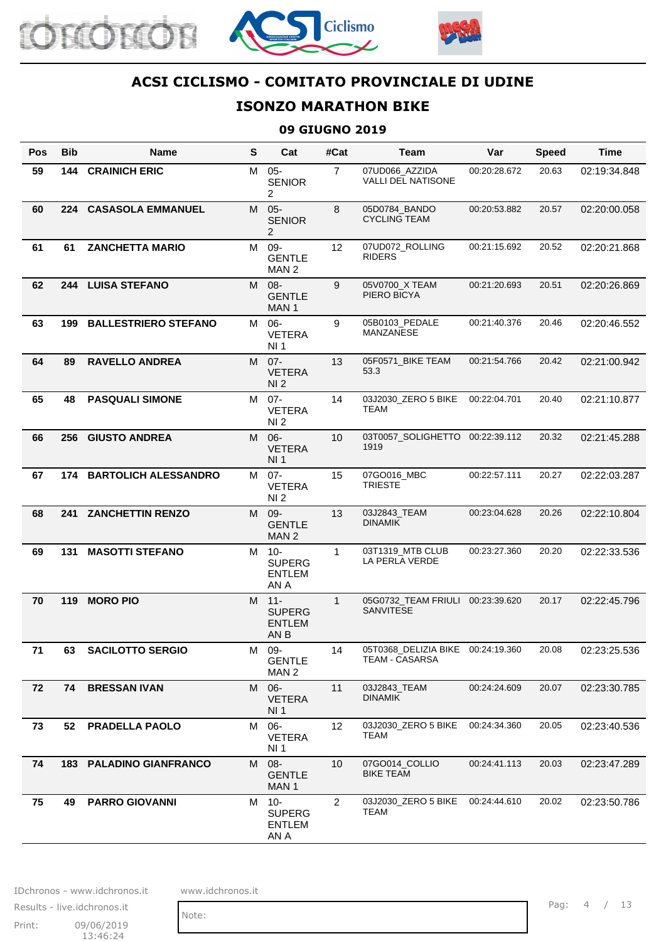





# **ISONZO MARATHON BIKE**

#### **09 GIUGNO 2019**

| <b>Pos</b> | <b>Bib</b> | <b>Name</b>                    | S | Cat                                              | #Cat              | <b>Team</b>                                                | Var          | <b>Speed</b> | <b>Time</b>  |
|------------|------------|--------------------------------|---|--------------------------------------------------|-------------------|------------------------------------------------------------|--------------|--------------|--------------|
| 59         | 144        | <b>CRAINICH ERIC</b>           | M | $05 -$<br><b>SENIOR</b><br>2                     | $\overline{7}$    | 07UD066_AZZIDA<br><b>VALLI DEL NATISONE</b>                | 00:20:28.672 | 20.63        | 02:19:34.848 |
| 60         | 224        | <b>CASASOLA EMMANUEL</b>       | M | $05 -$<br><b>SENIOR</b><br>$\overline{2}$        | 8                 | 05D0784_BANDO<br><b>CYCLING TEAM</b>                       | 00:20:53.882 | 20.57        | 02:20:00.058 |
| 61         | 61         | <b>ZANCHETTA MARIO</b>         | M | 09-<br><b>GENTLE</b><br>MAN <sub>2</sub>         | 12                | 07UD072_ROLLING<br><b>RIDERS</b>                           | 00:21:15.692 | 20.52        | 02:20:21.868 |
| 62         | 244        | <b>LUISA STEFANO</b>           | M | $08 -$<br><b>GENTLE</b><br>MAN <sub>1</sub>      | 9                 | 05V0700_X TEAM<br>PIERO BICYA                              | 00:21:20.693 | 20.51        | 02:20:26.869 |
| 63         | 199        | <b>BALLESTRIERO STEFANO</b>    | M | $06 -$<br><b>VETERA</b><br>NI <sub>1</sub>       | 9                 | 05B0103_PEDALE<br>MANZANESE                                | 00:21:40.376 | 20.46        | 02:20:46.552 |
| 64         | 89         | <b>RAVELLO ANDREA</b>          | M | $07 -$<br><b>VETERA</b><br>NI 2                  | 13                | 05F0571_BIKE TEAM<br>53.3                                  | 00:21:54.766 | 20.42        | 02:21:00.942 |
| 65         | 48         | <b>PASQUALI SIMONE</b>         | М | $07 -$<br><b>VETERA</b><br>NI <sub>2</sub>       | 14                | 03J2030_ZERO 5 BIKE<br>TEAM                                | 00:22:04.701 | 20.40        | 02:21:10.877 |
| 66         | 256        | <b>GIUSTO ANDREA</b>           | M | $06 -$<br><b>VETERA</b><br>NI <sub>1</sub>       | 10                | 03T0057_SOLIGHETTO<br>1919                                 | 00:22:39.112 | 20.32        | 02:21:45.288 |
| 67         | 174        | <b>BARTOLICH ALESSANDRO</b>    |   | M 07-<br><b>VETERA</b><br>NI 2                   | 15                | 07GO016_MBC<br><b>TRIESTE</b>                              | 00:22:57.111 | 20.27        | 02:22:03.287 |
| 68         | 241        | <b>ZANCHETTIN RENZO</b>        | M | 09-<br><b>GENTLE</b><br>MAN <sub>2</sub>         | 13                | 03J2843_TEAM<br><b>DINAMIK</b>                             | 00:23:04.628 | 20.26        | 02:22:10.804 |
| 69         | 131        | <b>MASOTTI STEFANO</b>         | M | $10 -$<br><b>SUPERG</b><br><b>ENTLEM</b><br>AN A | $\mathbf{1}$      | 03T1319_MTB CLUB<br>LA PERLA VERDE                         | 00:23:27.360 | 20.20        | 02:22:33.536 |
| 70         | 119        | <b>MORO PIO</b>                |   | M 11-<br><b>SUPERG</b><br><b>ENTLEM</b><br>AN B  | $\mathbf{1}$      | 05G0732_TEAM FRIULI<br>SANVITESE                           | 00:23:39.620 | 20.17        | 02:22:45.796 |
| 71         | 63         | <b>SACILOTTO SERGIO</b>        |   | M 09-<br><b>GENTLE</b><br>MAN <sub>2</sub>       | 14                | 05T0368_DELIZIA BIKE 00:24:19.360<br><b>TEAM - CASARSA</b> |              | 20.08        | 02:23:25.536 |
| 72         | 74         | <b>BRESSAN IVAN</b>            | M | $06 -$<br><b>VETERA</b><br><b>NI1</b>            | 11                | 03J2843_TEAM<br><b>DINAMIK</b>                             | 00:24:24.609 | 20.07        | 02:23:30.785 |
| 73         | 52         | <b>PRADELLA PAOLO</b>          | M | 06-<br><b>VETERA</b><br>NI 1                     | $12 \overline{ }$ | 03J2030_ZERO 5 BIKE<br>TEAM                                | 00:24:34.360 | 20.05        | 02:23:40.536 |
| 74         |            | <b>183 PALADINO GIANFRANCO</b> | M | $08 -$<br><b>GENTLE</b><br>MAN <sub>1</sub>      | 10                | 07GO014_COLLIO<br><b>BIKE TEAM</b>                         | 00:24:41.113 | 20.03        | 02:23:47.289 |
| 75         | 49         | <b>PARRO GIOVANNI</b>          | M | $10-$<br><b>SUPERG</b><br><b>ENTLEM</b><br>AN A  | 2                 | 03J2030_ZERO 5 BIKE<br>TEAM                                | 00:24:44.610 | 20.02        | 02:23:50.786 |

IDchronos - www.idchronos.it www.idchronos.it

Print: 09/06/2019 13:46:24 Results - live.idchronos.it Pag: 4 / 13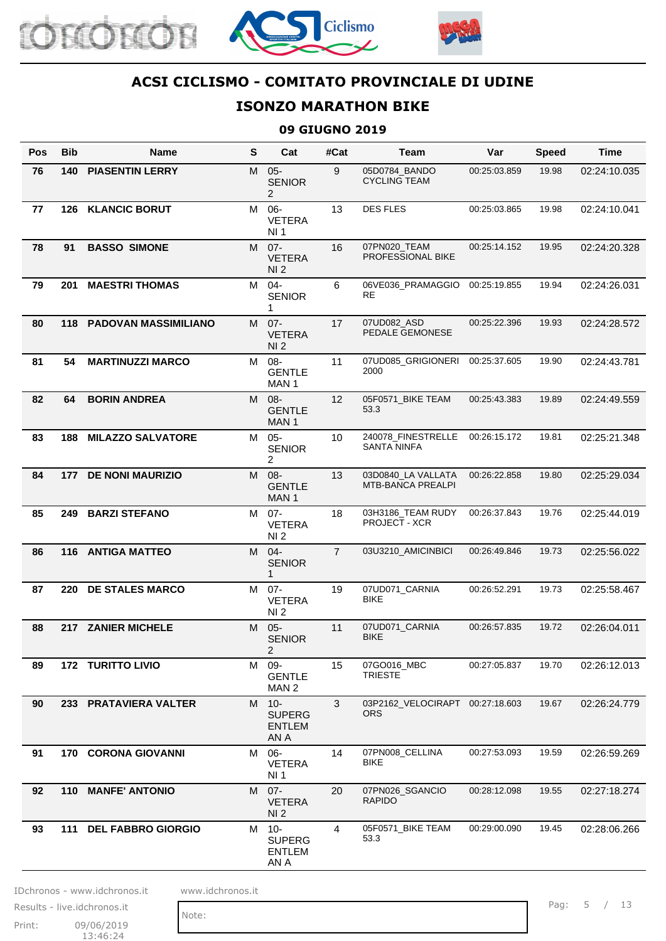





# **ISONZO MARATHON BIKE**

#### **09 GIUGNO 2019**

| Pos | <b>Bib</b> | Name                            | $\mathbf{s}$ | Cat                                             | #Cat           | <b>Team</b>                                    | Var          | <b>Speed</b> | <b>Time</b>  |
|-----|------------|---------------------------------|--------------|-------------------------------------------------|----------------|------------------------------------------------|--------------|--------------|--------------|
| 76  | 140        | <b>PIASENTIN LERRY</b>          | M            | $05 -$<br><b>SENIOR</b><br>2                    | 9              | 05D0784_BANDO<br><b>CYCLING TEAM</b>           | 00:25:03.859 | 19.98        | 02:24:10.035 |
| 77  | 126        | <b>KLANCIC BORUT</b>            | M            | $06 -$<br><b>VETERA</b><br>NI 1                 | 13             | <b>DES FLES</b>                                | 00:25:03.865 | 19.98        | 02:24:10.041 |
| 78  | 91         | <b>BASSO SIMONE</b>             | M            | $07 -$<br><b>VETERA</b><br>NI <sub>2</sub>      | 16             | 07PN020_TEAM<br>PROFESSIONAL BIKE              | 00:25:14.152 | 19.95        | 02:24:20.328 |
| 79  | 201        | <b>MAESTRI THOMAS</b>           | M            | $04 -$<br><b>SENIOR</b><br>1                    | 6              | 06VE036_PRAMAGGIO<br><b>RE</b>                 | 00:25:19.855 | 19.94        | 02:24:26.031 |
| 80  |            | <b>118 PADOVAN MASSIMILIANO</b> | M            | $07 -$<br><b>VETERA</b><br>NI <sub>2</sub>      | 17             | 07UD082_ASD<br>PEDALE GEMONESE                 | 00:25:22.396 | 19.93        | 02:24:28.572 |
| 81  | 54         | <b>MARTINUZZI MARCO</b>         | M            | $08 -$<br><b>GENTLE</b><br>MAN <sub>1</sub>     | 11             | 07UD085_GRIGIONERI<br>2000                     | 00:25:37.605 | 19.90        | 02:24:43.781 |
| 82  | 64         | <b>BORIN ANDREA</b>             | M            | $08 -$<br><b>GENTLE</b><br>MAN <sub>1</sub>     | 12             | 05F0571_BIKE TEAM<br>53.3                      | 00:25:43.383 | 19.89        | 02:24:49.559 |
| 83  | 188        | <b>MILAZZO SALVATORE</b>        | M            | $05 -$<br><b>SENIOR</b><br>2                    | 10             | 240078_FINESTRELLE<br><b>SANTA NINFA</b>       | 00:26:15.172 | 19.81        | 02:25:21.348 |
| 84  | 177        | <b>DE NONI MAURIZIO</b>         | M            | $08 -$<br><b>GENTLE</b><br>MAN <sub>1</sub>     | 13             | 03D0840 LA VALLATA<br><b>MTB-BANCA PREALPI</b> | 00:26:22.858 | 19.80        | 02:25:29.034 |
| 85  | 249        | <b>BARZI STEFANO</b>            | M            | $07 -$<br><b>VETERA</b><br>NI 2                 | 18             | 03H3186_TEAM RUDY<br>PROJECT - XCR             | 00:26:37.843 | 19.76        | 02:25:44.019 |
| 86  |            | 116 ANTIGA MATTEO               | M            | $04 -$<br><b>SENIOR</b><br>$\mathbf{1}$         | $\overline{7}$ | 03U3210_AMICINBICI                             | 00:26:49.846 | 19.73        | 02:25:56.022 |
| 87  |            | 220 DE STALES MARCO             | M            | $07 -$<br><b>VETERA</b><br>NI <sub>2</sub>      | 19             | 07UD071_CARNIA<br><b>BIKE</b>                  | 00:26:52.291 | 19.73        | 02:25:58.467 |
| 88  |            | 217 ZANIER MICHELE              | М            | $05 -$<br><b>SENIOR</b><br>2                    | 11             | 07UD071_CARNIA<br>BIKE                         | 00:26:57.835 | 19.72        | 02:26:04.011 |
| 89  |            | <b>172 TURITTO LIVIO</b>        | M            | 09-<br><b>GENTLE</b><br>MAN 2                   | 15             | 07GO016_MBC<br><b>TRIESTE</b>                  | 00:27:05.837 | 19.70        | 02:26:12.013 |
| 90  |            | 233 PRATAVIERA VALTER           |              | M 10-<br><b>SUPERG</b><br><b>ENTLEM</b><br>AN A | 3              | 03P2162 VELOCIRAPT 00:27:18.603<br><b>ORS</b>  |              | 19.67        | 02:26:24.779 |
| 91  |            | <b>170 CORONA GIOVANNI</b>      | M            | 06-<br><b>VETERA</b><br>NI 1                    | 14             | 07PN008_CELLINA<br>BIKE                        | 00:27:53.093 | 19.59        | 02:26:59.269 |
| 92  |            | 110 MANFE' ANTONIO              |              | M 07-<br><b>VETERA</b><br>NI <sub>2</sub>       | 20             | 07PN026_SGANCIO<br><b>RAPIDO</b>               | 00:28:12.098 | 19.55        | 02:27:18.274 |
| 93  |            | 111 DEL FABBRO GIORGIO          | M            | $10 -$<br><b>SUPERG</b><br>ENTLEM<br>AN A       | 4              | 05F0571_BIKE TEAM<br>53.3                      | 00:29:00.090 | 19.45        | 02:28:06.266 |

IDchronos - www.idchronos.it www.idchronos.it

Note:

Print: 09/06/2019 13:46:24 Results - live.idchronos.it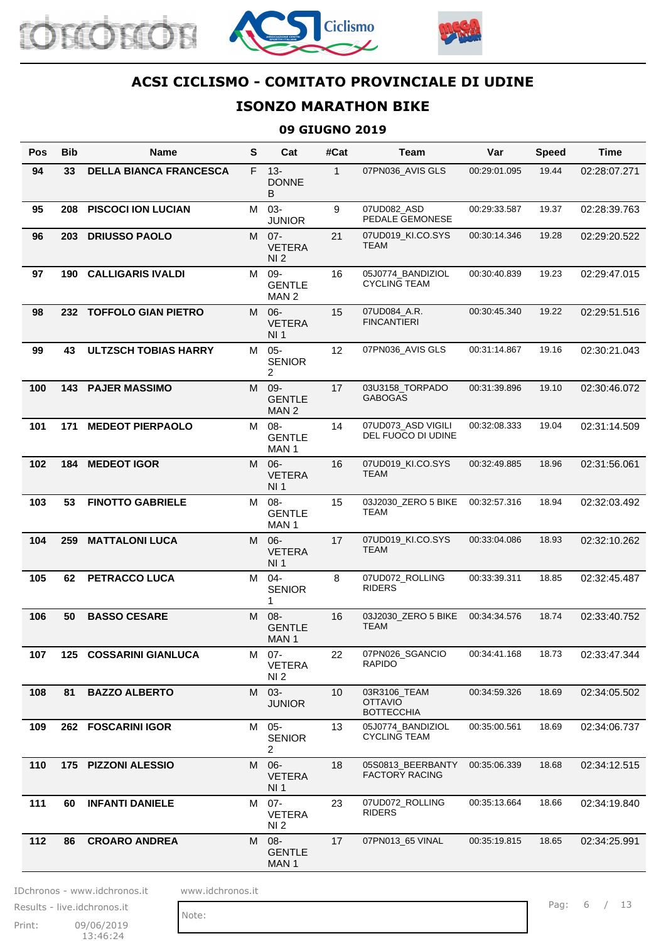





#### **ISONZO MARATHON BIKE**

#### **09 GIUGNO 2019**

| Pos | <b>Bib</b> | Name                          | S  | Cat                                        | #Cat         | Team                                                | Var          | <b>Speed</b> | <b>Time</b>  |
|-----|------------|-------------------------------|----|--------------------------------------------|--------------|-----------------------------------------------------|--------------|--------------|--------------|
| 94  | 33         | <b>DELLA BIANCA FRANCESCA</b> | F. | $13 -$<br><b>DONNE</b><br>B                | $\mathbf{1}$ | 07PN036_AVIS GLS                                    | 00:29:01.095 | 19.44        | 02:28:07.271 |
| 95  | 208        | <b>PISCOCI ION LUCIAN</b>     | M  | 03-<br><b>JUNIOR</b>                       | 9            | 07UD082_ASD<br>PEDALE GEMONESE                      | 00:29:33.587 | 19.37        | 02:28:39.763 |
| 96  | 203        | <b>DRIUSSO PAOLO</b>          | M  | $07 -$<br><b>VETERA</b><br>NI <sub>2</sub> | 21           | 07UD019_KI.CO.SYS<br><b>TEAM</b>                    | 00:30:14.346 | 19.28        | 02:29:20.522 |
| 97  | 190        | <b>CALLIGARIS IVALDI</b>      | M  | 09-<br><b>GENTLE</b><br>MAN <sub>2</sub>   | 16           | 05J0774_BANDIZIOL<br><b>CYCLING TEAM</b>            | 00:30:40.839 | 19.23        | 02:29:47.015 |
| 98  |            | 232 TOFFOLO GIAN PIETRO       | M  | $06 -$<br><b>VETERA</b><br>NI 1            | 15           | 07UD084_A.R.<br><b>FINCANTIERI</b>                  | 00:30:45.340 | 19.22        | 02:29:51.516 |
| 99  | 43         | <b>ULTZSCH TOBIAS HARRY</b>   | М  | $05 -$<br><b>SENIOR</b><br>2               | 12           | 07PN036_AVIS GLS                                    | 00:31:14.867 | 19.16        | 02:30:21.043 |
| 100 |            | <b>143 PAJER MASSIMO</b>      | M  | 09-<br><b>GENTLE</b><br>MAN <sub>2</sub>   | 17           | 03U3158_TORPADO<br><b>GABOGAS</b>                   | 00:31:39.896 | 19.10        | 02:30:46.072 |
| 101 | 171        | <b>MEDEOT PIERPAOLO</b>       | м  | $08 -$<br><b>GENTLE</b><br>MAN 1           | 14           | 07UD073_ASD VIGILI<br>DEL FUOCO DI UDINE            | 00:32:08.333 | 19.04        | 02:31:14.509 |
| 102 | 184        | <b>MEDEOT IGOR</b>            | M  | $06 -$<br><b>VETERA</b><br>NI <sub>1</sub> | 16           | 07UD019_KI.CO.SYS<br><b>TEAM</b>                    | 00:32:49.885 | 18.96        | 02:31:56.061 |
| 103 | 53         | <b>FINOTTO GABRIELE</b>       | M  | -08<br><b>GENTLE</b><br>MAN <sub>1</sub>   | 15           | 03J2030_ZERO 5 BIKE<br>TEAM                         | 00:32:57.316 | 18.94        | 02:32:03.492 |
| 104 | 259        | <b>MATTALONI LUCA</b>         | M  | $06 -$<br><b>VETERA</b><br>NI 1            | 17           | 07UD019_KI.CO.SYS<br><b>TEAM</b>                    | 00:33:04.086 | 18.93        | 02:32:10.262 |
| 105 | 62         | PETRACCO LUCA                 | M  | $04 -$<br><b>SENIOR</b><br>1               | 8            | 07UD072_ROLLING<br><b>RIDERS</b>                    | 00:33:39.311 | 18.85        | 02:32:45.487 |
| 106 | 50         | <b>BASSO CESARE</b>           |    | M 08-<br><b>GENTLE</b><br>MAN 1            | 16           | 03J2030_ZERO 5 BIKE<br>TEAM                         | 00:34:34.576 | 18.74        | 02:33:40.752 |
| 107 |            | 125 COSSARINI GIANLUCA        |    | M 07-<br><b>VETERA</b><br>NI 2.            | 22           | 07PN026_SGANCIO<br>RAPIDO                           | 00:34:41.168 | 18.73        | 02:33:47.344 |
| 108 | 81         | <b>BAZZO ALBERTO</b>          | M  | $03 -$<br><b>JUNIOR</b>                    | 10           | 03R3106_TEAM<br><b>OTTAVIO</b><br><b>BOTTECCHIA</b> | 00:34:59.326 | 18.69        | 02:34:05.502 |
| 109 |            | 262 FOSCARINI IGOR            | M  | $05 -$<br><b>SENIOR</b><br>2               | 13           | 05J0774_BANDIZIOL<br><b>CYCLING TEAM</b>            | 00:35:00.561 | 18.69        | 02:34:06.737 |
| 110 |            | 175 PIZZONI ALESSIO           |    | M 06-<br><b>VETERA</b><br>NI <sub>1</sub>  | 18           | 05S0813_BEERBANTY<br><b>FACTORY RACING</b>          | 00:35:06.339 | 18.68        | 02:34:12.515 |
| 111 | 60         | <b>INFANTI DANIELE</b>        |    | M 07-<br><b>VETERA</b><br>NI <sub>2</sub>  | 23           | 07UD072_ROLLING<br>RIDERS                           | 00:35:13.664 | 18.66        | 02:34:19.840 |
| 112 | 86         | <b>CROARO ANDREA</b>          | M  | $08 -$<br><b>GENTLE</b><br>MAN 1           | 17           | 07PN013_65 VINAL                                    | 00:35:19.815 | 18.65        | 02:34:25.991 |

IDchronos - www.idchronos.it www.idchronos.it

Note:

Print: 09/06/2019 13:46:24 Results - live.idchronos.it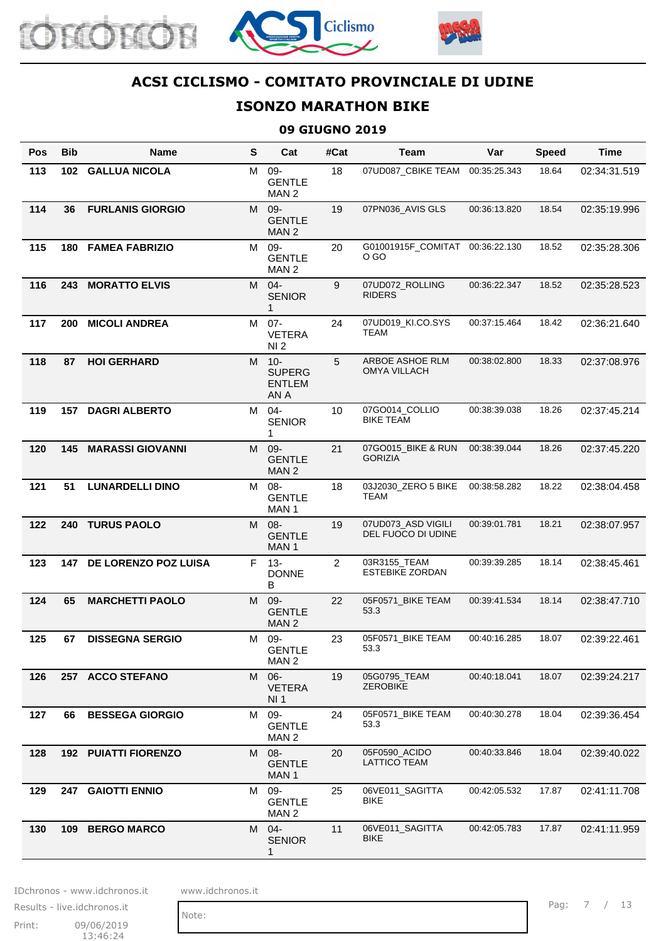





# **ISONZO MARATHON BIKE**

#### **09 GIUGNO 2019**

| <b>Pos</b> | <b>Bib</b> | <b>Name</b>                 | S | Cat                                             | #Cat | Team                                     | Var          | <b>Speed</b> | <b>Time</b>  |
|------------|------------|-----------------------------|---|-------------------------------------------------|------|------------------------------------------|--------------|--------------|--------------|
| 113        | 102        | <b>GALLUA NICOLA</b>        | М | $09 -$<br><b>GENTLE</b><br>MAN <sub>2</sub>     | 18   | 07UD087_CBIKE TEAM                       | 00:35:25.343 | 18.64        | 02:34:31.519 |
| 114        | 36         | <b>FURLANIS GIORGIO</b>     | M | 09-<br><b>GENTLE</b><br>MAN <sub>2</sub>        | 19   | 07PN036_AVIS GLS                         | 00:36:13.820 | 18.54        | 02:35:19.996 |
| 115        | 180        | <b>FAMEA FABRIZIO</b>       | M | $09 -$<br><b>GENTLE</b><br>MAN 2                | 20   | G01001915F_COMITAT 00:36:22.130<br>O GO  |              | 18.52        | 02:35:28.306 |
| 116        | 243        | <b>MORATTO ELVIS</b>        | M | $04 -$<br><b>SENIOR</b><br>1                    | 9    | 07UD072 ROLLING<br><b>RIDERS</b>         | 00:36:22.347 | 18.52        | 02:35:28.523 |
| 117        | 200        | <b>MICOLI ANDREA</b>        | M | $07 -$<br><b>VETERA</b><br>NI <sub>2</sub>      | 24   | 07UD019_KI.CO.SYS<br>TEAM                | 00:37:15.464 | 18.42        | 02:36:21.640 |
| 118        | 87         | <b>HOI GERHARD</b>          |   | M 10-<br><b>SUPERG</b><br><b>ENTLEM</b><br>AN A | 5    | ARBOE ASHOE RLM<br><b>OMYA VILLACH</b>   | 00:38:02.800 | 18.33        | 02:37:08.976 |
| 119        | 157        | <b>DAGRI ALBERTO</b>        | M | $04 -$<br><b>SENIOR</b><br>1                    | 10   | 07GO014_COLLIO<br><b>BIKE TEAM</b>       | 00:38:39.038 | 18.26        | 02:37:45.214 |
| 120        | 145        | <b>MARASSI GIOVANNI</b>     | M | $09 -$<br><b>GENTLE</b><br>MAN <sub>2</sub>     | 21   | 07GO015_BIKE & RUN<br><b>GORIZIA</b>     | 00:38:39.044 | 18.26        | 02:37:45.220 |
| 121        | 51         | <b>LUNARDELLI DINO</b>      | M | $08 -$<br><b>GENTLE</b><br>MAN <sub>1</sub>     | 18   | 03J2030_ZERO 5 BIKE<br><b>TEAM</b>       | 00:38:58.282 | 18.22        | 02:38:04.458 |
| 122        | 240        | <b>TURUS PAOLO</b>          | M | $08 -$<br><b>GENTLE</b><br>MAN <sub>1</sub>     | 19   | 07UD073_ASD VIGILI<br>DEL FUOCO DI UDINE | 00:39:01.781 | 18.21        | 02:38:07.957 |
| 123        |            | 147 DE LORENZO POZ LUISA    |   | F 13-<br><b>DONNE</b><br>B                      | 2    | 03R3155_TEAM<br><b>ESTEBIKE ZORDAN</b>   | 00:39:39.285 | 18.14        | 02:38:45.461 |
| 124        | 65         | <b>MARCHETTI PAOLO</b>      | M | 09-<br><b>GENTLE</b><br>MAN <sub>2</sub>        | 22   | 05F0571 BIKE TEAM<br>53.3                | 00:39:41.534 | 18.14        | 02:38:47.710 |
| 125        | 67         | <b>DISSEGNA SERGIO</b>      | М | 09-<br><b>GENTLE</b><br>MAN <sub>2</sub>        | 23   | 05F0571_BIKE TEAM<br>53.3                | 00:40:16.285 | 18.07        | 02:39:22.461 |
| 126        |            | 257 ACCO STEFANO            | M | $06-$<br><b>VETERA</b><br>NI <sub>1</sub>       | 19   | 05G0795_TEAM<br><b>ZEROBIKE</b>          | 00:40:18.041 | 18.07        | 02:39:24.217 |
| 127        | 66         | <b>BESSEGA GIORGIO</b>      | M | 09-<br><b>GENTLE</b><br>MAN <sub>2</sub>        | 24   | 05F0571 BIKE TEAM<br>53.3                | 00:40:30.278 | 18.04        | 02:39:36.454 |
| 128        |            | <b>192 PUIATTI FIORENZO</b> | M | $08 -$<br><b>GENTLE</b><br>MAN 1                | 20   | 05F0590_ACIDO<br><b>LATTICO TEAM</b>     | 00:40:33.846 | 18.04        | 02:39:40.022 |
| 129        |            | 247 GAIOTTI ENNIO           | M | 09-<br><b>GENTLE</b><br>MAN 2                   | 25   | 06VE011_SAGITTA<br><b>BIKE</b>           | 00:42:05.532 | 17.87        | 02:41:11.708 |
| 130        |            | 109 BERGO MARCO             | M | $04 -$<br><b>SENIOR</b><br>1                    | 11   | 06VE011_SAGITTA<br><b>BIKE</b>           | 00:42:05.783 | 17.87        | 02:41:11.959 |

IDchronos - www.idchronos.it www.idchronos.it

Note:

Print: 09/06/2019 13:46:24 Results - live.idchronos.it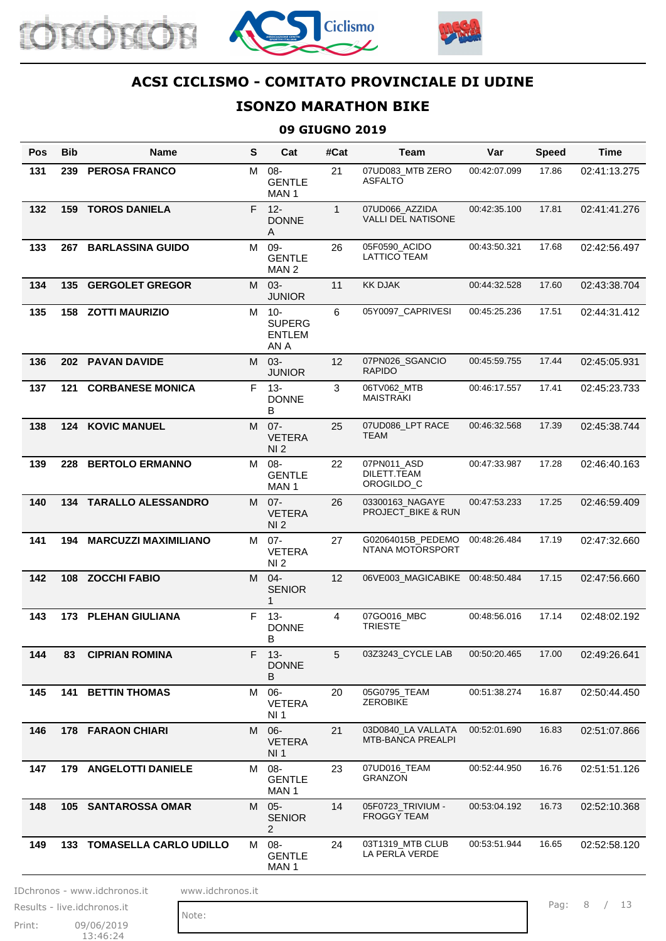





# **ISONZO MARATHON BIKE**

#### **09 GIUGNO 2019**

| Pos | Bib | <b>Name</b>                   | $\mathbf{s}$ | Cat                                        | #Cat         | Team                                           | Var          | <b>Speed</b> | <b>Time</b>  |
|-----|-----|-------------------------------|--------------|--------------------------------------------|--------------|------------------------------------------------|--------------|--------------|--------------|
| 131 | 239 | <b>PEROSA FRANCO</b>          | M            | 08-<br><b>GENTLE</b><br>MAN 1              | 21           | 07UD083_MTB ZERO<br><b>ASFALTO</b>             | 00:42:07.099 | 17.86        | 02:41:13.275 |
| 132 | 159 | <b>TOROS DANIELA</b>          | F.           | $12 -$<br><b>DONNE</b><br>A                | $\mathbf{1}$ | 07UD066_AZZIDA<br><b>VALLI DEL NATISONE</b>    | 00:42:35.100 | 17.81        | 02:41:41.276 |
| 133 | 267 | <b>BARLASSINA GUIDO</b>       | M            | 09-<br><b>GENTLE</b><br>MAN <sub>2</sub>   | 26           | 05F0590 ACIDO<br>LATTICO TEAM                  | 00:43:50.321 | 17.68        | 02:42:56.497 |
| 134 | 135 | <b>GERGOLET GREGOR</b>        | M            | 03-<br><b>JUNIOR</b>                       | 11           | <b>KK DJAK</b>                                 | 00:44:32.528 | 17.60        | 02:43:38.704 |
| 135 | 158 | <b>ZOTTI MAURIZIO</b>         | M            | $10 -$<br><b>SUPERG</b><br>ENTLEM<br>AN A  | 6            | 05Y0097_CAPRIVESI                              | 00:45:25.236 | 17.51        | 02:44:31.412 |
| 136 |     | 202 PAVAN DAVIDE              | M            | $03 -$<br><b>JUNIOR</b>                    | 12           | 07PN026_SGANCIO<br><b>RAPIDO</b>               | 00:45:59.755 | 17.44        | 02:45:05.931 |
| 137 | 121 | <b>CORBANESE MONICA</b>       | F.           | $13 -$<br><b>DONNE</b><br>В                | 3            | 06TV062_MTB<br><b>MAISTRAKI</b>                | 00:46:17.557 | 17.41        | 02:45:23.733 |
| 138 |     | <b>124 KOVIC MANUEL</b>       | M            | $07 -$<br><b>VETERA</b><br>NI <sub>2</sub> | 25           | 07UD086_LPT RACE<br><b>TEAM</b>                | 00:46:32.568 | 17.39        | 02:45:38.744 |
| 139 | 228 | <b>BERTOLO ERMANNO</b>        | м            | 08-<br><b>GENTLE</b><br>MAN <sub>1</sub>   | 22           | 07PN011_ASD<br>DILETT.TEAM<br>OROGILDO_C       | 00:47:33.987 | 17.28        | 02:46:40.163 |
| 140 | 134 | <b>TARALLO ALESSANDRO</b>     | M            | $07 -$<br><b>VETERA</b><br>NI <sub>2</sub> | 26           | 03300163 NAGAYE<br>PROJECT_BIKE & RUN          | 00:47:53.233 | 17.25        | 02:46:59.409 |
| 141 | 194 | <b>MARCUZZI MAXIMILIANO</b>   | M            | $07 -$<br><b>VETERA</b><br>NI 2            | 27           | G02064015B_PEDEMO<br>NTANA MOTORSPORT          | 00:48:26.484 | 17.19        | 02:47:32.660 |
| 142 | 108 | <b>ZOCCHI FABIO</b>           | M            | $04 -$<br><b>SENIOR</b><br>1               | 12           | 06VE003_MAGICABIKE 00:48:50.484                |              | 17.15        | 02:47:56.660 |
| 143 | 173 | <b>PLEHAN GIULIANA</b>        | F.           | $13 -$<br><b>DONNE</b><br>B                | 4            | 07GO016_MBC<br><b>TRIESTE</b>                  | 00:48:56.016 | 17.14        | 02:48:02.192 |
| 144 | 83  | <b>CIPRIAN ROMINA</b>         |              | F 13-<br><b>DONNE</b><br>B                 | 5            | 03Z3243_CYCLE LAB                              | 00:50:20.465 | 17.00        | 02:49:26.641 |
| 145 |     | <b>141 BETTIN THOMAS</b>      | M            | 06-<br><b>VETERA</b><br>NI <sub>1</sub>    | 20           | 05G0795 TEAM<br><b>ZEROBIKE</b>                | 00:51:38.274 | 16.87        | 02:50:44.450 |
| 146 |     | <b>178 FARAON CHIARI</b>      | M            | $06 -$<br><b>VETERA</b><br>NI <sub>1</sub> | 21           | 03D0840_LA VALLATA<br><b>MTB-BANCA PREALPI</b> | 00:52:01.690 | 16.83        | 02:51:07.866 |
| 147 |     | 179 ANGELOTTI DANIELE         | M            | 08-<br><b>GENTLE</b><br>MAN 1              | 23           | 07UD016_TEAM<br><b>GRANZON</b>                 | 00:52:44.950 | 16.76        | 02:51:51.126 |
| 148 |     | 105 SANTAROSSA OMAR           | M            | $05 -$<br><b>SENIOR</b><br>$\overline{2}$  | 14           | 05F0723_TRIVIUM -<br><b>FROGGY TEAM</b>        | 00:53:04.192 | 16.73        | 02:52:10.368 |
| 149 | 133 | <b>TOMASELLA CARLO UDILLO</b> | M            | 08-<br><b>GENTLE</b><br>MAN 1              | 24           | 03T1319_MTB CLUB<br>LA PERLA VERDE             | 00:53:51.944 | 16.65        | 02:52:58.120 |

IDchronos - www.idchronos.it www.idchronos.it

Print: 09/06/2019 13:46:24 Results - live.idchronos.it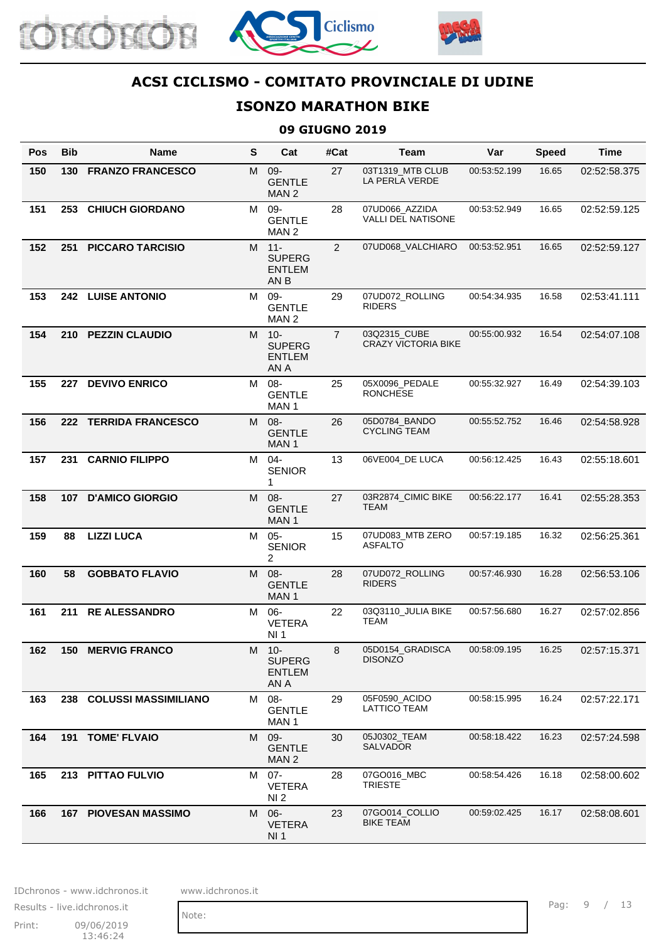





# **ISONZO MARATHON BIKE**

#### **09 GIUGNO 2019**

| <b>Pos</b> | <b>Bib</b> | <b>Name</b>                 | S | Cat                                                        | #Cat           | Team                                       | Var          | <b>Speed</b> | <b>Time</b>  |
|------------|------------|-----------------------------|---|------------------------------------------------------------|----------------|--------------------------------------------|--------------|--------------|--------------|
| 150        | 130        | <b>FRANZO FRANCESCO</b>     | M | 09-<br><b>GENTLE</b><br>MAN <sub>2</sub>                   | 27             | 03T1319 MTB CLUB<br>LA PERLA VERDE         | 00:53:52.199 | 16.65        | 02:52:58.375 |
| 151        | 253        | <b>CHIUCH GIORDANO</b>      | M | 09-<br><b>GENTLE</b><br>MAN <sub>2</sub>                   | 28             | 07UD066_AZZIDA<br>VALLI DEL NATISONE       | 00:53:52.949 | 16.65        | 02:52:59.125 |
| 152        | 251        | <b>PICCARO TARCISIO</b>     |   | M 11-<br><b>SUPERG</b><br><b>ENTLEM</b><br>AN <sub>B</sub> | $\overline{2}$ | 07UD068_VALCHIARO                          | 00:53:52.951 | 16.65        | 02:52:59.127 |
| 153        |            | 242 LUISE ANTONIO           | M | 09-<br><b>GENTLE</b><br>MAN <sub>2</sub>                   | 29             | 07UD072_ROLLING<br><b>RIDERS</b>           | 00:54:34.935 | 16.58        | 02:53:41.111 |
| 154        | 210        | <b>PEZZIN CLAUDIO</b>       | M | $10 -$<br><b>SUPERG</b><br><b>ENTLEM</b><br>AN A           | $\overline{7}$ | 03Q2315_CUBE<br><b>CRAZY VICTORIA BIKE</b> | 00:55:00.932 | 16.54        | 02:54:07.108 |
| 155        | 227        | <b>DEVIVO ENRICO</b>        | M | 08-<br><b>GENTLE</b><br>MAN <sub>1</sub>                   | 25             | 05X0096_PEDALE<br><b>RONCHESE</b>          | 00:55:32.927 | 16.49        | 02:54:39.103 |
| 156        | 222        | <b>TERRIDA FRANCESCO</b>    | M | $08 -$<br><b>GENTLE</b><br>MAN 1                           | 26             | 05D0784_BANDO<br><b>CYCLING TEAM</b>       | 00:55:52.752 | 16.46        | 02:54:58.928 |
| 157        | 231        | <b>CARNIO FILIPPO</b>       | M | $04 -$<br><b>SENIOR</b><br>1                               | 13             | 06VE004_DE LUCA                            | 00:56:12.425 | 16.43        | 02:55:18.601 |
| 158        |            | 107 D'AMICO GIORGIO         | M | $08 -$<br><b>GENTLE</b><br>MAN <sub>1</sub>                | 27             | 03R2874_CIMIC BIKE<br>TEAM                 | 00:56:22.177 | 16.41        | 02:55:28.353 |
| 159        | 88         | <b>LIZZI LUCA</b>           | M | $05 -$<br><b>SENIOR</b><br>2                               | 15             | 07UD083_MTB ZERO<br><b>ASFALTO</b>         | 00:57:19.185 | 16.32        | 02:56:25.361 |
| 160        | 58         | <b>GOBBATO FLAVIO</b>       | M | 08-<br><b>GENTLE</b><br>MAN <sub>1</sub>                   | 28             | 07UD072_ROLLING<br><b>RIDERS</b>           | 00:57:46.930 | 16.28        | 02:56:53.106 |
| 161        | 211        | <b>RE ALESSANDRO</b>        | M | $06-$<br><b>VETERA</b><br>NI 1                             | 22             | 03Q3110 JULIA BIKE<br><b>TEAM</b>          | 00:57:56.680 | 16.27        | 02:57:02.856 |
| 162        |            | <b>150 MERVIG FRANCO</b>    |   | M 10-<br><b>SUPERG</b><br><b>ENTLEM</b><br>AN A            | 8              | 05D0154_GRADISCA<br><b>DISONZO</b>         | 00:58:09.195 | 16.25        | 02:57:15.371 |
| 163        | 238        | <b>COLUSSI MASSIMILIANO</b> | M | 08-<br><b>GENTLE</b><br>MAN 1                              | 29             | 05F0590_ACIDO<br><b>LATTICO TEAM</b>       | 00:58:15.995 | 16.24        | 02:57:22.171 |
| 164        |            | 191 TOME' FLVAIO            | M | $09 -$<br><b>GENTLE</b><br>MAN <sub>2</sub>                | 30             | 05J0302_TEAM<br>SALVADOR                   | 00:58:18.422 | 16.23        | 02:57:24.598 |
| 165        |            | 213 PITTAO FULVIO           | M | $07 -$<br><b>VETERA</b><br>NI <sub>2</sub>                 | 28             | 07GO016_MBC<br><b>TRIESTE</b>              | 00:58:54.426 | 16.18        | 02:58:00.602 |
| 166        |            | <b>167 PIOVESAN MASSIMO</b> | М | $06 -$<br><b>VETERA</b><br>NI 1                            | 23             | 07GO014_COLLIO<br><b>BIKE TEAM</b>         | 00:59:02.425 | 16.17        | 02:58:08.601 |

IDchronos - www.idchronos.it www.idchronos.it

Note:

Print: 09/06/2019 13:46:24 Results - live.idchronos.it Pag: 9 / 13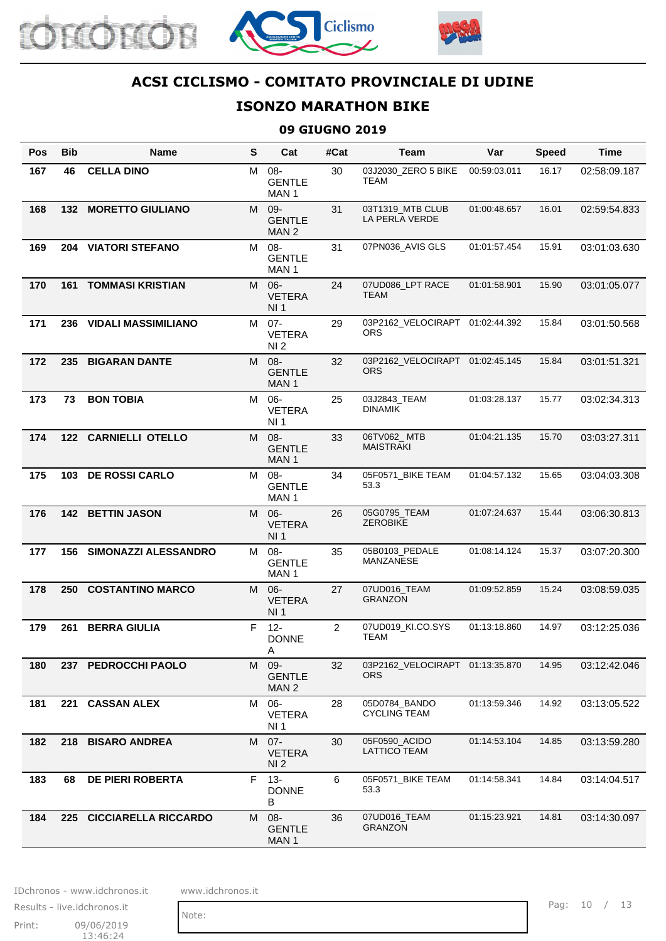





# **ISONZO MARATHON BIKE**

#### **09 GIUGNO 2019**

| <b>Pos</b> | <b>Bib</b> | <b>Name</b>                 | S | Cat                                         | #Cat           | <b>Team</b>                                   | Var          | <b>Speed</b> | <b>Time</b>  |
|------------|------------|-----------------------------|---|---------------------------------------------|----------------|-----------------------------------------------|--------------|--------------|--------------|
| 167        | 46         | <b>CELLA DINO</b>           | М | $08 -$<br><b>GENTLE</b><br>MAN <sub>1</sub> | 30             | 03J2030 ZERO 5 BIKE<br>TEAM                   | 00:59:03.011 | 16.17        | 02:58:09.187 |
| 168        | 132        | <b>MORETTO GIULIANO</b>     | M | $09 -$<br><b>GENTLE</b><br>MAN <sub>2</sub> | 31             | 03T1319_MTB CLUB<br>LA PERLA VERDE            | 01:00:48.657 | 16.01        | 02:59:54.833 |
| 169        |            | 204 VIATORI STEFANO         | M | 08-<br><b>GENTLE</b><br>MAN 1               | 31             | 07PN036_AVIS GLS                              | 01:01:57.454 | 15.91        | 03:01:03.630 |
| 170        |            | <b>161 TOMMASI KRISTIAN</b> | M | $06 -$<br><b>VETERA</b><br>NI 1             | 24             | 07UD086_LPT RACE<br><b>TEAM</b>               | 01:01:58.901 | 15.90        | 03:01:05.077 |
| 171        |            | 236 VIDALI MASSIMILIANO     | M | $07 -$<br><b>VETERA</b><br>NI <sub>2</sub>  | 29             | 03P2162_VELOCIRAPT 01:02:44.392<br><b>ORS</b> |              | 15.84        | 03:01:50.568 |
| 172        | 235        | <b>BIGARAN DANTE</b>        | M | $08 -$<br><b>GENTLE</b><br>MAN 1            | 32             | 03P2162 VELOCIRAPT 01:02:45.145<br><b>ORS</b> |              | 15.84        | 03:01:51.321 |
| 173        | 73         | <b>BON TOBIA</b>            | М | $06 -$<br><b>VETERA</b><br>NI <sub>1</sub>  | 25             | 03J2843_TEAM<br><b>DINAMIK</b>                | 01:03:28.137 | 15.77        | 03:02:34.313 |
| 174        | 122        | <b>CARNIELLI OTELLO</b>     | M | $08 -$<br><b>GENTLE</b><br>MAN <sub>1</sub> | 33             | 06TV062 MTB<br><b>MAISTRAKI</b>               | 01:04:21.135 | 15.70        | 03:03:27.311 |
| 175        | 103        | <b>DE ROSSI CARLO</b>       | M | $08 -$<br><b>GENTLE</b><br>MAN 1            | 34             | 05F0571_BIKE TEAM<br>53.3                     | 01:04:57.132 | 15.65        | 03:04:03.308 |
| 176        |            | 142 BETTIN JASON            | M | $06 -$<br><b>VETERA</b><br>NI <sub>1</sub>  | 26             | 05G0795_TEAM<br><b>ZEROBIKE</b>               | 01:07:24.637 | 15.44        | 03:06:30.813 |
| 177        | 156        | <b>SIMONAZZI ALESSANDRO</b> | M | 08-<br><b>GENTLE</b><br>MAN <sub>1</sub>    | 35             | 05B0103_PEDALE<br>MANZANESE                   | 01:08:14.124 | 15.37        | 03:07:20.300 |
| 178        | 250        | <b>COSTANTINO MARCO</b>     | M | $06 -$<br><b>VETERA</b><br>NI 1             | 27             | 07UD016_TEAM<br><b>GRANZON</b>                | 01:09:52.859 | 15.24        | 03:08:59.035 |
| 179        | 261        | <b>BERRA GIULIA</b>         | F | $12 -$<br><b>DONNE</b><br>Α                 | $\overline{2}$ | 07UD019_KI.CO.SYS<br>TEAM                     | 01:13:18.860 | 14.97        | 03:12:25.036 |
| 180        |            | 237 PEDROCCHI PAOLO         | M | 09-<br><b>GENTLE</b><br>MAN <sub>2</sub>    | 32             | 03P2162_VELOCIRAPT 01:13:35.870<br><b>ORS</b> |              | 14.95        | 03:12:42.046 |
| 181        |            | 221 CASSAN ALEX             | M | $06 -$<br><b>VETERA</b><br>NI 1             | 28             | 05D0784_BANDO<br><b>CYCLING TEAM</b>          | 01:13:59.346 | 14.92        | 03:13:05.522 |
| 182        | 218        | <b>BISARO ANDREA</b>        | M | $07 -$<br><b>VETERA</b><br>NI <sub>2</sub>  | 30             | 05F0590_ACIDO<br>LATTICO TEAM                 | 01:14:53.104 | 14.85        | 03:13:59.280 |
| 183        | 68         | <b>DE PIERI ROBERTA</b>     | F | $13 -$<br><b>DONNE</b><br>В                 | 6              | 05F0571_BIKE TEAM<br>53.3                     | 01:14:58.341 | 14.84        | 03:14:04.517 |
| 184        |            | 225 CICCIARELLA RICCARDO    | M | $08 -$<br><b>GENTLE</b><br>MAN 1            | 36             | 07UD016_TEAM<br><b>GRANZON</b>                | 01:15:23.921 | 14.81        | 03:14:30.097 |

IDchronos - www.idchronos.it www.idchronos.it

Note:

Print: 09/06/2019 13:46:24 Results - live.idchronos.it Pag: 10 / 13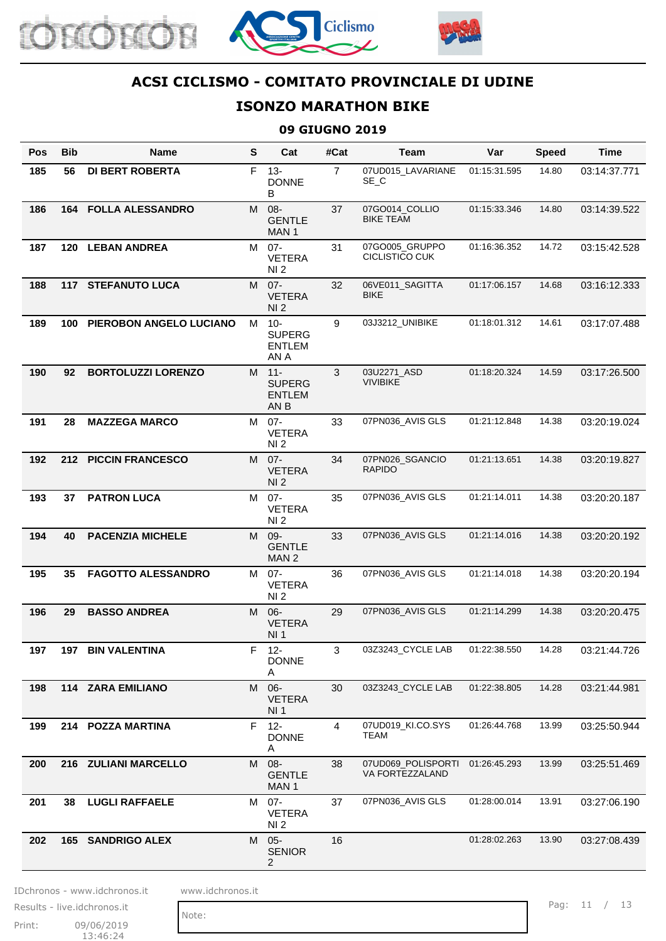





# **ISONZO MARATHON BIKE**

#### **09 GIUGNO 2019**

| Pos | Bib | <b>Name</b>               | $\mathbf{s}$ | Cat                                              | #Cat           | Team                                    | Var          | <b>Speed</b> | Time         |
|-----|-----|---------------------------|--------------|--------------------------------------------------|----------------|-----------------------------------------|--------------|--------------|--------------|
| 185 | 56  | <b>DI BERT ROBERTA</b>    | F            | $13 -$<br><b>DONNE</b><br>B                      | $\overline{7}$ | 07UD015_LAVARIANE<br>SE_C               | 01:15:31.595 | 14.80        | 03:14:37.771 |
| 186 | 164 | <b>FOLLA ALESSANDRO</b>   | M            | $08 -$<br><b>GENTLE</b><br>MAN <sub>1</sub>      | 37             | 07GO014 COLLIO<br><b>BIKE TEAM</b>      | 01:15:33.346 | 14.80        | 03:14:39.522 |
| 187 | 120 | <b>LEBAN ANDREA</b>       | M            | $07 -$<br><b>VETERA</b><br>NI <sub>2</sub>       | 31             | 07GO005_GRUPPO<br><b>CICLISTICO CUK</b> | 01:16:36.352 | 14.72        | 03:15:42.528 |
| 188 |     | <b>117 STEFANUTO LUCA</b> | M            | $07 -$<br><b>VETERA</b><br>NI 2                  | 32             | 06VE011 SAGITTA<br>BIKE                 | 01:17:06.157 | 14.68        | 03:16:12.333 |
| 189 | 100 | PIEROBON ANGELO LUCIANO   | M            | $10 -$<br><b>SUPERG</b><br><b>ENTLEM</b><br>AN A | 9              | 03J3212_UNIBIKE                         | 01:18:01.312 | 14.61        | 03:17:07.488 |
| 190 | 92  | <b>BORTOLUZZI LORENZO</b> | M            | $11 -$<br><b>SUPERG</b><br><b>ENTLEM</b><br>AN B | 3              | 03U2271_ASD<br><b>VIVIBIKE</b>          | 01:18:20.324 | 14.59        | 03:17:26.500 |
| 191 | 28  | <b>MAZZEGA MARCO</b>      | M            | $07 -$<br><b>VETERA</b><br>NI <sub>2</sub>       | 33             | 07PN036_AVIS GLS                        | 01:21:12.848 | 14.38        | 03:20:19.024 |
| 192 | 212 | <b>PICCIN FRANCESCO</b>   | M            | $07 -$<br><b>VETERA</b><br>NI <sub>2</sub>       | 34             | 07PN026_SGANCIO<br>RAPIDO               | 01:21:13.651 | 14.38        | 03:20:19.827 |
| 193 | 37  | <b>PATRON LUCA</b>        | M            | $07 -$<br><b>VETERA</b><br>NI 2                  | 35             | 07PN036_AVIS GLS                        | 01:21:14.011 | 14.38        | 03:20:20.187 |
| 194 | 40  | <b>PACENZIA MICHELE</b>   |              | M 09-<br><b>GENTLE</b><br>MAN <sub>2</sub>       | 33             | 07PN036_AVIS GLS                        | 01:21:14.016 | 14.38        | 03:20:20.192 |
| 195 | 35  | <b>FAGOTTO ALESSANDRO</b> | M            | $07 -$<br><b>VETERA</b><br>NI <sub>2</sub>       | 36             | 07PN036_AVIS GLS                        | 01:21:14.018 | 14.38        | 03:20:20.194 |
| 196 | 29  | <b>BASSO ANDREA</b>       | M            | $06 -$<br><b>VETERA</b><br>NI 1                  | 29             | 07PN036 AVIS GLS                        | 01:21:14.299 | 14.38        | 03:20:20.475 |
| 197 | 197 | <b>BIN VALENTINA</b>      |              | F 12-<br><b>DONNE</b><br>A                       | 3              | 03Z3243_CYCLE LAB                       | 01:22:38.550 | 14.28        | 03:21:44.726 |
| 198 |     | 114 ZARA EMILIANO         | M            | $06 -$<br><b>VETERA</b><br>NI 1                  | 30             | 03Z3243_CYCLE LAB                       | 01:22:38.805 | 14.28        | 03:21:44.981 |
| 199 |     | 214 POZZA MARTINA         | F.           | $12 -$<br><b>DONNE</b><br>A                      | $\overline{4}$ | 07UD019 KI.CO.SYS<br>TEAM               | 01:26:44.768 | 13.99        | 03:25:50.944 |
| 200 |     | 216 ZULIANI MARCELLO      | M            | $08 -$<br><b>GENTLE</b><br>MAN 1                 | 38             | 07UD069_POLISPORTI<br>VA FORTEZZALAND   | 01:26:45.293 | 13.99        | 03:25:51.469 |
| 201 | 38  | <b>LUGLI RAFFAELE</b>     | M            | $07 -$<br><b>VETERA</b><br>NI 2                  | 37             | 07PN036_AVIS GLS                        | 01:28:00.014 | 13.91        | 03:27:06.190 |
| 202 |     | <b>165 SANDRIGO ALEX</b>  | M            | $05 -$<br><b>SENIOR</b><br>2                     | 16             |                                         | 01:28:02.263 | 13.90        | 03:27:08.439 |

IDchronos - www.idchronos.it www.idchronos.it

Print: 09/06/2019  $13:46:24$ Results - live.idchronos.it

Note:

Pag: 11 / 13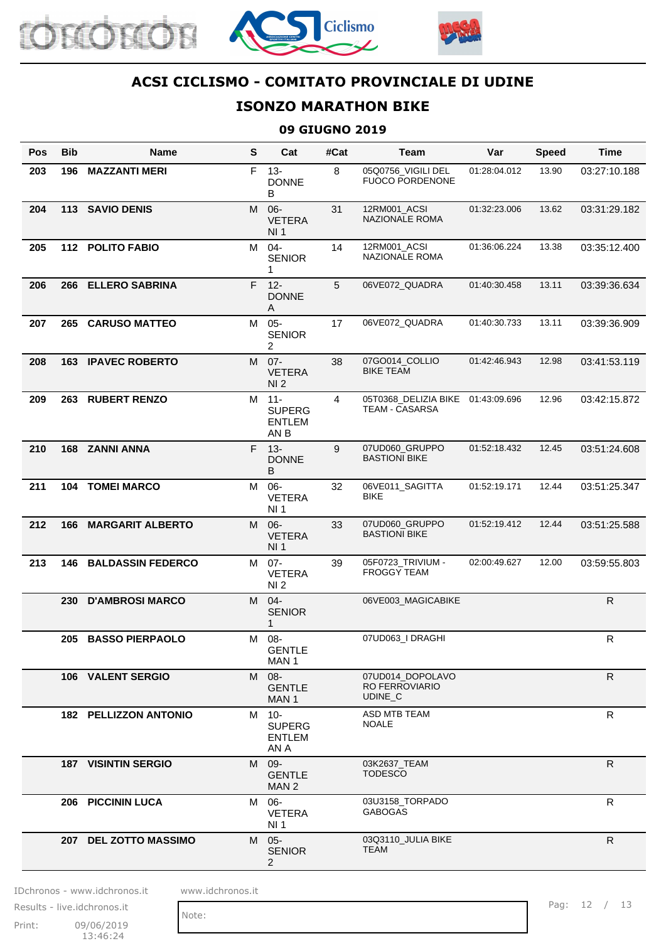





#### **ISONZO MARATHON BIKE**

#### **09 GIUGNO 2019**

| <b>Pos</b> | <b>Bib</b> | <b>Name</b>                  | S  | Cat                                              | #Cat | Team                                                 | Var          | <b>Speed</b> | <b>Time</b>  |
|------------|------------|------------------------------|----|--------------------------------------------------|------|------------------------------------------------------|--------------|--------------|--------------|
| 203        | 196        | <b>MAZZANTI MERI</b>         | F  | $13 -$<br><b>DONNE</b><br>В                      | 8    | 05Q0756_VIGILI DEL<br><b>FUOCO PORDENONE</b>         | 01:28:04.012 | 13.90        | 03:27:10.188 |
| 204        |            | 113 SAVIO DENIS              | M  | $06 -$<br><b>VETERA</b><br>NI 1                  | 31   | 12RM001_ACSI<br>NAZIONALE ROMA                       | 01:32:23.006 | 13.62        | 03:31:29.182 |
| 205        |            | 112 POLITO FABIO             | M  | $04 -$<br><b>SENIOR</b><br>1                     | 14   | 12RM001_ACSI<br><b>NAZIONALE ROMA</b>                | 01:36:06.224 | 13.38        | 03:35:12.400 |
| 206        | 266        | <b>ELLERO SABRINA</b>        | F. | $12 -$<br><b>DONNE</b><br>A                      | 5    | 06VE072_QUADRA                                       | 01:40:30.458 | 13.11        | 03:39:36.634 |
| 207        | 265        | <b>CARUSO MATTEO</b>         | M  | $05 -$<br><b>SENIOR</b><br>2                     | 17   | 06VE072_QUADRA                                       | 01:40:30.733 | 13.11        | 03:39:36.909 |
| 208        |            | <b>163 IPAVEC ROBERTO</b>    | M  | $07 -$<br><b>VETERA</b><br>NI <sub>2</sub>       | 38   | 07GO014 COLLIO<br><b>BIKE TEAM</b>                   | 01:42:46.943 | 12.98        | 03:41:53.119 |
| 209        | 263        | <b>RUBERT RENZO</b>          | М  | $11 -$<br><b>SUPERG</b><br><b>ENTLEM</b><br>AN B | 4    | 05T0368_DELIZIA BIKE<br><b>TEAM - CASARSA</b>        | 01:43:09.696 | 12.96        | 03:42:15.872 |
| 210        |            | 168 ZANNI ANNA               |    | F 13-<br><b>DONNE</b><br>B                       | 9    | 07UD060_GRUPPO<br><b>BASTIONI BIKE</b>               | 01:52:18.432 | 12.45        | 03:51:24.608 |
| 211        |            | <b>104 TOMEI MARCO</b>       | М  | $06 -$<br><b>VETERA</b><br>NI 1                  | 32   | 06VE011_SAGITTA<br><b>BIKE</b>                       | 01:52:19.171 | 12.44        | 03:51:25.347 |
| 212        | 166        | <b>MARGARIT ALBERTO</b>      | M  | $06 -$<br><b>VETERA</b><br><b>NI1</b>            | 33   | 07UD060_GRUPPO<br><b>BASTIONI BIKE</b>               | 01:52:19.412 | 12.44        | 03:51:25.588 |
| 213        |            | <b>146 BALDASSIN FEDERCO</b> | M  | $07 -$<br><b>VETERA</b><br>NI 2                  | 39   | 05F0723_TRIVIUM -<br><b>FROGGY TEAM</b>              | 02:00:49.627 | 12.00        | 03:59:55.803 |
|            | 230        | <b>D'AMBROSI MARCO</b>       | M  | $04 -$<br><b>SENIOR</b><br>1                     |      | 06VE003 MAGICABIKE                                   |              |              | ${\sf R}$    |
|            | 205        | <b>BASSO PIERPAOLO</b>       | м  | 08-<br><b>GENTLE</b><br>MAN <sub>1</sub>         |      | 07UD063_I DRAGHI                                     |              |              | R            |
|            |            | 106 VALENT SERGIO            |    | M 08-<br><b>GENTLE</b><br>MAN <sub>1</sub>       |      | 07UD014_DOPOLAVO<br><b>RO FERROVIARIO</b><br>UDINE C |              |              | $\mathsf{R}$ |
|            |            | <b>182 PELLIZZON ANTONIO</b> |    | M 10-<br><b>SUPERG</b><br><b>ENTLEM</b><br>AN A  |      | <b>ASD MTB TEAM</b><br><b>NOALE</b>                  |              |              | $\mathsf{R}$ |
|            |            | <b>187 VISINTIN SERGIO</b>   |    | M 09-<br><b>GENTLE</b><br>MAN <sub>2</sub>       |      | 03K2637 TEAM<br><b>TODESCO</b>                       |              |              | $\mathsf{R}$ |
|            |            | 206 PICCININ LUCA            |    | M 06-<br><b>VETERA</b><br>NI 1                   |      | 03U3158_TORPADO<br><b>GABOGAS</b>                    |              |              | R            |
|            |            | 207 DEL ZOTTO MASSIMO        | M  | $05 -$<br><b>SENIOR</b><br>2                     |      | 03Q3110_JULIA BIKE<br><b>TEAM</b>                    |              |              | $\mathsf{R}$ |

IDchronos - www.idchronos.it www.idchronos.it

Print: 09/06/2019  $13:46:24$ Results - live.idchronos.it

Note:

Pag: 12 / 13